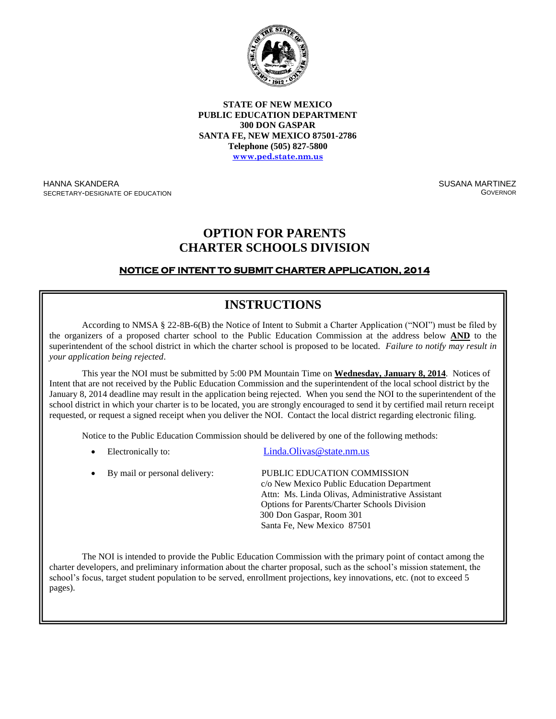

**STATE OF NEW MEXICO PUBLIC EDUCATION DEPARTMENT 300 DON GASPAR SANTA FE, NEW MEXICO 87501-2786 Telephone (505) 827-5800 [www.ped.state.nm.us](http://www.sde.state.nm.us/)**

HANNA SKANDERA SECRETARY-DESIGNATE OF EDUCATION SUSANA MARTINEZ **GOVERNOR** 

## **OPTION FOR PARENTS CHARTER SCHOOLS DIVISION**

### **NOTICE OF INTENT TO SUBMIT CHARTER APPLICATION, 2014**

# **INSTRUCTIONS**

According to NMSA § 22-8B-6(B) the Notice of Intent to Submit a Charter Application ("NOI") must be filed by the organizers of a proposed charter school to the Public Education Commission at the address below **AND** to the superintendent of the school district in which the charter school is proposed to be located. *Failure to notify may result in your application being rejected*.

This year the NOI must be submitted by 5:00 PM Mountain Time on **Wednesday, January 8, 2014**. Notices of Intent that are not received by the Public Education Commission and the superintendent of the local school district by the January 8, 2014 deadline may result in the application being rejected. When you send the NOI to the superintendent of the school district in which your charter is to be located, you are strongly encouraged to send it by certified mail return receipt requested, or request a signed receipt when you deliver the NOI. Contact the local district regarding electronic filing.

Notice to the Public Education Commission should be delivered by one of the following methods:

Electronically to: Linda.Olivas @state.nm.us

| • By mail or personal delivery: | PUBLIC EDUCATION COMMISSION<br>c/o New Mexico Public Education Department<br>Attn: Ms. Linda Olivas, Administrative Assistant<br><b>Options for Parents/Charter Schools Division</b><br>300 Don Gaspar, Room 301 |
|---------------------------------|------------------------------------------------------------------------------------------------------------------------------------------------------------------------------------------------------------------|
|                                 | Santa Fe, New Mexico 87501                                                                                                                                                                                       |

The NOI is intended to provide the Public Education Commission with the primary point of contact among the charter developers, and preliminary information about the charter proposal, such as the school's mission statement, the school's focus, target student population to be served, enrollment projections, key innovations, etc. (not to exceed 5  $\text{ges}$ ). pages).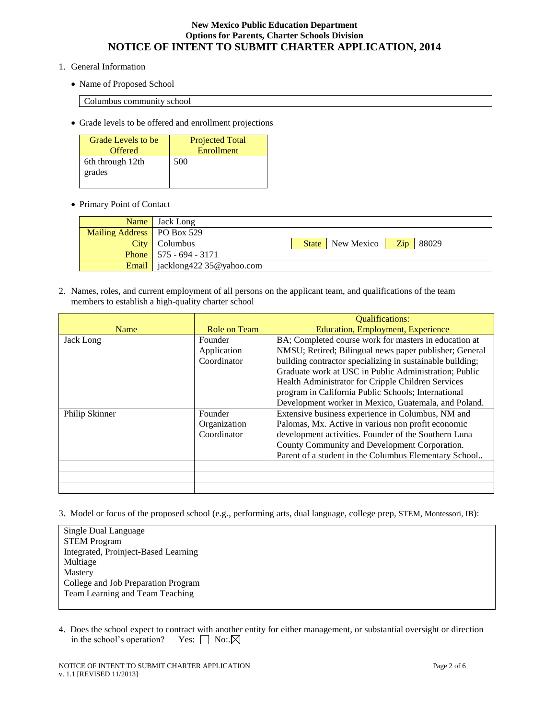- 1. General Information
	- Name of Proposed School

Columbus community school

Grade levels to be offered and enrollment projections

| Grade Levels to be         | <b>Projected Total</b> |
|----------------------------|------------------------|
| <b>Offered</b>             | Enrollment             |
| 6th through 12th<br>grades | 500                    |

Primary Point of Contact

|                              | Name Jack Long                             |                         |     |       |
|------------------------------|--------------------------------------------|-------------------------|-----|-------|
| Mailing Address   PO Box 529 |                                            |                         |     |       |
|                              | City Columbus                              | <b>State</b> New Mexico | Zip | 88029 |
|                              | <b>Phone</b> $\vert$ 575 - 694 - 3171      |                         |     |       |
|                              | <b>Email</b>   jacklong422 $35@$ vahoo.com |                         |     |       |

2. Names, roles, and current employment of all persons on the applicant team, and qualifications of the team members to establish a high-quality charter school

|                |              | <b>Qualifications:</b>                                    |
|----------------|--------------|-----------------------------------------------------------|
| Name           | Role on Team | <b>Education, Employment, Experience</b>                  |
| Jack Long      | Founder      | BA; Completed course work for masters in education at     |
|                | Application  | NMSU; Retired; Bilingual news paper publisher; General    |
|                | Coordinator  | building contractor specializing in sustainable building; |
|                |              | Graduate work at USC in Public Administration; Public     |
|                |              | Health Administrator for Cripple Children Services        |
|                |              | program in California Public Schools; International       |
|                |              | Development worker in Mexico, Guatemala, and Poland.      |
| Philip Skinner | Founder      | Extensive business experience in Columbus, NM and         |
|                | Organization | Palomas, Mx. Active in various non profit economic        |
|                | Coordinator  | development activities. Founder of the Southern Luna      |
|                |              | County Community and Development Corporation.             |
|                |              | Parent of a student in the Columbus Elementary School     |
|                |              |                                                           |
|                |              |                                                           |
|                |              |                                                           |

3. Model or focus of the proposed school (e.g., performing arts, dual language, college prep, STEM, Montessori, IB):

| Single Dual Language                 |
|--------------------------------------|
| <b>STEM Program</b>                  |
| Integrated, Proinject-Based Learning |
| Multiage                             |
| Mastery                              |
| College and Job Preparation Program  |
| Team Learning and Team Teaching      |
|                                      |

4. Does the school expect to contract with another entity for either management, or substantial oversight or direction in the school's operation? Yes:  $\Box$  No:  $\boxtimes$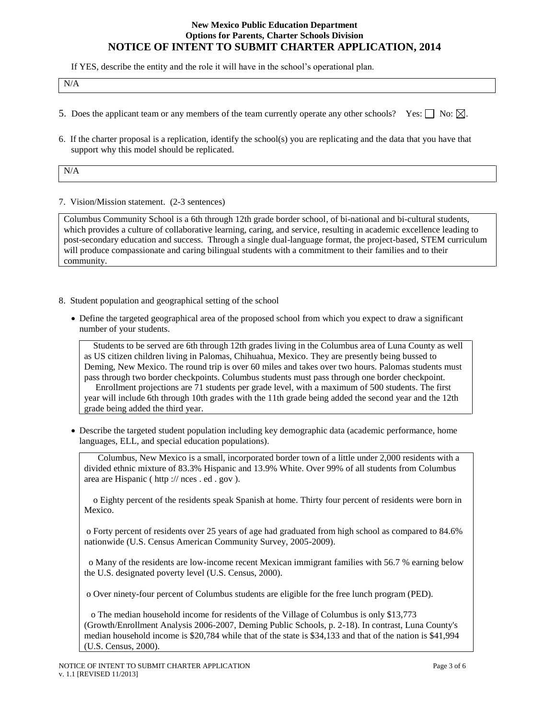If YES, describe the entity and the role it will have in the school's operational plan.

|  | $N/\epsilon$ |
|--|--------------|
|--|--------------|

- 5. Does the applicant team or any members of the team currently operate any other schools? Yes:  $\Box$  No:  $\boxtimes$ .
- 6. If the charter proposal is a replication, identify the school(s) you are replicating and the data that you have that support why this model should be replicated.

N/A

7. Vision/Mission statement. (2-3 sentences)

Columbus Community School is a 6th through 12th grade border school, of bi-national and bi-cultural students, which provides a culture of collaborative learning, caring, and service, resulting in academic excellence leading to post-secondary education and success. Through a single dual-language format, the project-based, STEM curriculum will produce compassionate and caring bilingual students with a commitment to their families and to their community.

- 8. Student population and geographical setting of the school
	- Define the targeted geographical area of the proposed school from which you expect to draw a significant number of your students.

 Students to be served are 6th through 12th grades living in the Columbus area of Luna County as well as US citizen children living in Palomas, Chihuahua, Mexico. They are presently being bussed to Deming, New Mexico. The round trip is over 60 miles and takes over two hours. Palomas students must pass through two border checkpoints. Columbus students must pass through one border checkpoint. Enrollment projections are 71 students per grade level, with a maximum of 500 students. The first year will include 6th through 10th grades with the 11th grade being added the second year and the 12th grade being added the third year.

 Describe the targeted student population including key demographic data (academic performance, home languages, ELL, and special education populations).

 Columbus, New Mexico is a small, incorporated border town of a little under 2,000 residents with a divided ethnic mixture of 83.3% Hispanic and 13.9% White. Over 99% of all students from Columbus area are Hispanic ( http :// nces . ed . gov ).

 o Eighty percent of the residents speak Spanish at home. Thirty four percent of residents were born in Mexico.

o Forty percent of residents over 25 years of age had graduated from high school as compared to 84.6% nationwide (U.S. Census American Community Survey, 2005-2009).

 o Many of the residents are low-income recent Mexican immigrant families with 56.7 % earning below the U.S. designated poverty level (U.S. Census, 2000).

o Over ninety-four percent of Columbus students are eligible for the free lunch program (PED).

 o The median household income for residents of the Village of Columbus is only \$13,773 (Growth/Enrollment Analysis 2006-2007, Deming Public Schools, p. 2-18). In contrast, Luna County's median household income is \$20,784 while that of the state is \$34,133 and that of the nation is \$41,994 (U.S. Census, 2000).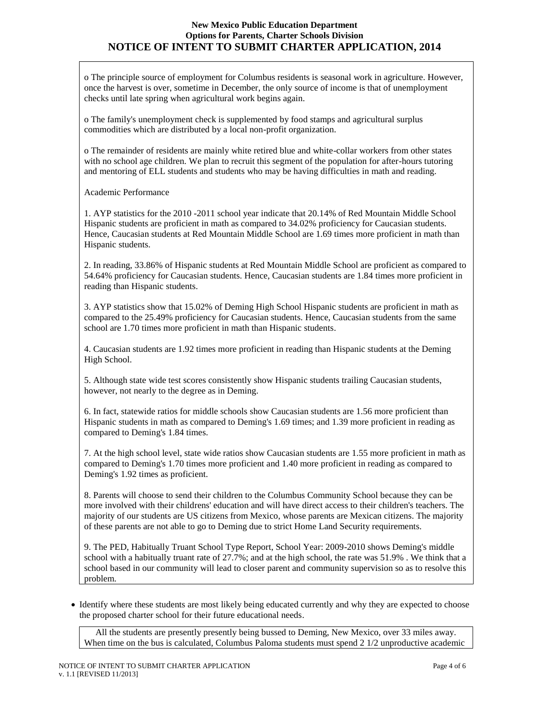o The principle source of employment for Columbus residents is seasonal work in agriculture. However, once the harvest is over, sometime in December, the only source of income is that of unemployment checks until late spring when agricultural work begins again.

o The family's unemployment check is supplemented by food stamps and agricultural surplus commodities which are distributed by a local non-profit organization.

o The remainder of residents are mainly white retired blue and white-collar workers from other states with no school age children. We plan to recruit this segment of the population for after-hours tutoring and mentoring of ELL students and students who may be having difficulties in math and reading.

Academic Performance

1. AYP statistics for the 2010 -2011 school year indicate that 20.14% of Red Mountain Middle School Hispanic students are proficient in math as compared to 34.02% proficiency for Caucasian students. Hence, Caucasian students at Red Mountain Middle School are 1.69 times more proficient in math than Hispanic students.

2. In reading, 33.86% of Hispanic students at Red Mountain Middle School are proficient as compared to 54.64% proficiency for Caucasian students. Hence, Caucasian students are 1.84 times more proficient in reading than Hispanic students.

3. AYP statistics show that 15.02% of Deming High School Hispanic students are proficient in math as compared to the 25.49% proficiency for Caucasian students. Hence, Caucasian students from the same school are 1.70 times more proficient in math than Hispanic students.

4. Caucasian students are 1.92 times more proficient in reading than Hispanic students at the Deming High School.

5. Although state wide test scores consistently show Hispanic students trailing Caucasian students, however, not nearly to the degree as in Deming.

6. In fact, statewide ratios for middle schools show Caucasian students are 1.56 more proficient than Hispanic students in math as compared to Deming's 1.69 times; and 1.39 more proficient in reading as compared to Deming's 1.84 times.

7. At the high school level, state wide ratios show Caucasian students are 1.55 more proficient in math as compared to Deming's 1.70 times more proficient and 1.40 more proficient in reading as compared to Deming's 1.92 times as proficient.

8. Parents will choose to send their children to the Columbus Community School because they can be more involved with their childrens' education and will have direct access to their children's teachers. The majority of our students are US citizens from Mexico, whose parents are Mexican citizens. The majority of these parents are not able to go to Deming due to strict Home Land Security requirements.

9. The PED, Habitually Truant School Type Report, School Year: 2009-2010 shows Deming's middle school with a habitually truant rate of 27.7%; and at the high school, the rate was 51.9% . We think that a school based in our community will lead to closer parent and community supervision so as to resolve this problem.

 Identify where these students are most likely being educated currently and why they are expected to choose the proposed charter school for their future educational needs.

 All the students are presently presently being bussed to Deming, New Mexico, over 33 miles away. When time on the bus is calculated, Columbus Paloma students must spend 2  $1/2$  unproductive academic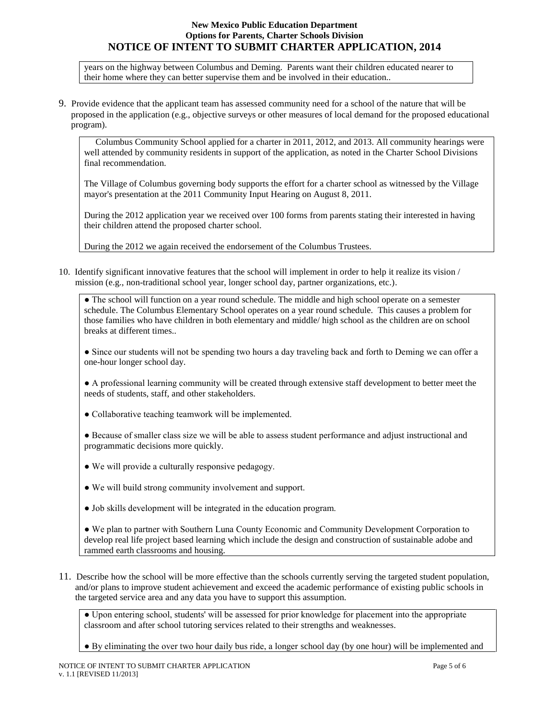years on the highway between Columbus and Deming. Parents want their children educated nearer to their home where they can better supervise them and be involved in their education..

9. Provide evidence that the applicant team has assessed community need for a school of the nature that will be proposed in the application (e.g., objective surveys or other measures of local demand for the proposed educational program).

 Columbus Community School applied for a charter in 2011, 2012, and 2013. All community hearings were well attended by community residents in support of the application, as noted in the Charter School Divisions final recommendation.

The Village of Columbus governing body supports the effort for a charter school as witnessed by the Village mayor's presentation at the 2011 Community Input Hearing on August 8, 2011.

During the 2012 application year we received over 100 forms from parents stating their interested in having their children attend the proposed charter school.

During the 2012 we again received the endorsement of the Columbus Trustees.

10. Identify significant innovative features that the school will implement in order to help it realize its vision / mission (e.g., non-traditional school year, longer school day, partner organizations, etc.).

• The school will function on a year round schedule. The middle and high school operate on a semester schedule. The Columbus Elementary School operates on a year round schedule. This causes a problem for those families who have children in both elementary and middle/ high school as the children are on school breaks at different times..

• Since our students will not be spending two hours a day traveling back and forth to Deming we can offer a one-hour longer school day.

● A professional learning community will be created through extensive staff development to better meet the needs of students, staff, and other stakeholders.

- Collaborative teaching teamwork will be implemented.
- Because of smaller class size we will be able to assess student performance and adjust instructional and programmatic decisions more quickly.
- We will provide a culturally responsive pedagogy.
- We will build strong community involvement and support.
- Job skills development will be integrated in the education program.

● We plan to partner with Southern Luna County Economic and Community Development Corporation to develop real life project based learning which include the design and construction of sustainable adobe and rammed earth classrooms and housing.

11. Describe how the school will be more effective than the schools currently serving the targeted student population, and/or plans to improve student achievement and exceed the academic performance of existing public schools in the targeted service area and any data you have to support this assumption.

● Upon entering school, students' will be assessed for prior knowledge for placement into the appropriate classroom and after school tutoring services related to their strengths and weaknesses.

● By eliminating the over two hour daily bus ride, a longer school day (by one hour) will be implemented and